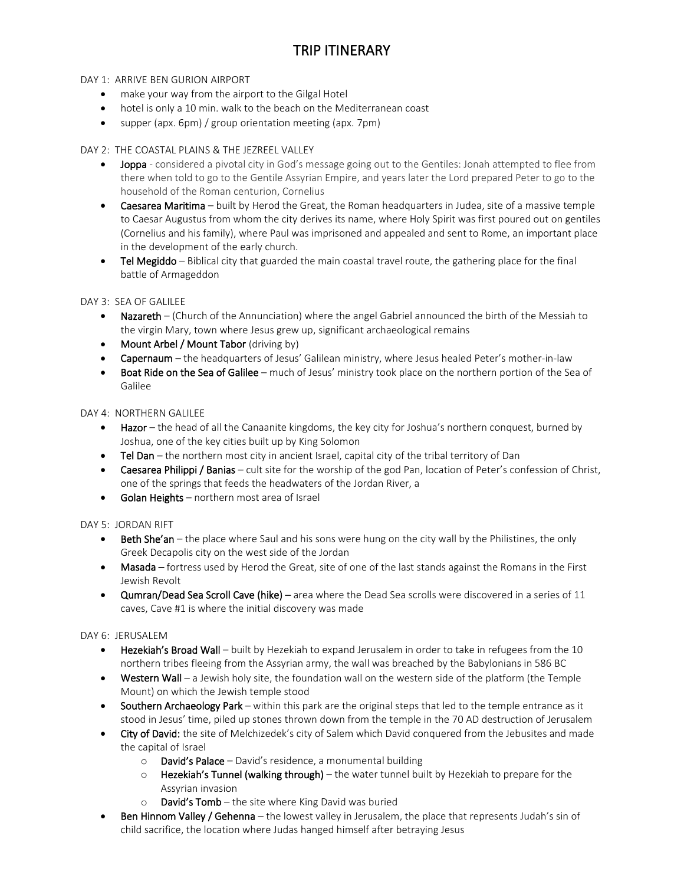# TRIP ITINERARY

## DAY 1: ARRIVE BEN GURION AIRPORT

- make your way from the airport to the Gilgal Hotel
- hotel is only a 10 min. walk to the beach on the Mediterranean coast
- supper (apx. 6pm) / group orientation meeting (apx. 7pm)

## DAY 2: THE COASTAL PLAINS & THE JEZREEL VALLEY

- **Joppa** considered a pivotal city in God's message going out to the Gentiles: Jonah attempted to flee from there when told to go to the Gentile Assyrian Empire, and years later the Lord prepared Peter to go to the household of the Roman centurion, Cornelius
- Caesarea Maritima built by Herod the Great, the Roman headquarters in Judea, site of a massive temple to Caesar Augustus from whom the city derives its name, where Holy Spirit was first poured out on gentiles (Cornelius and his family), where Paul was imprisoned and appealed and sent to Rome, an important place in the development of the early church.
- Tel Megiddo Biblical city that guarded the main coastal travel route, the gathering place for the final battle of Armageddon

# DAY 3: SEA OF GALILEE

- Nazareth (Church of the Annunciation) where the angel Gabriel announced the birth of the Messiah to the virgin Mary, town where Jesus grew up, significant archaeological remains
- Mount Arbel / Mount Tabor (driving by)
- Capernaum the headquarters of Jesus' Galilean ministry, where Jesus healed Peter's mother-in-law
- Boat Ride on the Sea of Galilee much of Jesus' ministry took place on the northern portion of the Sea of Galilee

## DAY 4: NORTHERN GALILEE

- Hazor the head of all the Canaanite kingdoms, the key city for Joshua's northern conquest, burned by Joshua, one of the key cities built up by King Solomon
- Tel Dan the northern most city in ancient Israel, capital city of the tribal territory of Dan
- Caesarea Philippi / Banias cult site for the worship of the god Pan, location of Peter's confession of Christ, one of the springs that feeds the headwaters of the Jordan River, a
- Golan Heights northern most area of Israel

## DAY 5: JORDAN RIFT

- Beth She'an the place where Saul and his sons were hung on the city wall by the Philistines, the only Greek Decapolis city on the west side of the Jordan
- Masada fortress used by Herod the Great, site of one of the last stands against the Romans in the First Jewish Revolt
- Qumran/Dead Sea Scroll Cave (hike) area where the Dead Sea scrolls were discovered in a series of 11 caves, Cave #1 is where the initial discovery was made

## DAY 6: JERUSALEM

- Hezekiah's Broad Wall built by Hezekiah to expand Jerusalem in order to take in refugees from the 10 northern tribes fleeing from the Assyrian army, the wall was breached by the Babylonians in 586 BC
- Western Wall a Jewish holy site, the foundation wall on the western side of the platform (the Temple Mount) on which the Jewish temple stood
- Southern Archaeology Park within this park are the original steps that led to the temple entrance as it stood in Jesus' time, piled up stones thrown down from the temple in the 70 AD destruction of Jerusalem
- City of David: the site of Melchizedek's city of Salem which David conquered from the Jebusites and made the capital of Israel
	- $\circ$  David's Palace David's residence, a monumental building
	- $\circ$  Hezekiah's Tunnel (walking through) the water tunnel built by Hezekiah to prepare for the Assyrian invasion
	- $\circ$  David's Tomb the site where King David was buried
- Ben Hinnom Valley / Gehenna the lowest valley in Jerusalem, the place that represents Judah's sin of child sacrifice, the location where Judas hanged himself after betraying Jesus